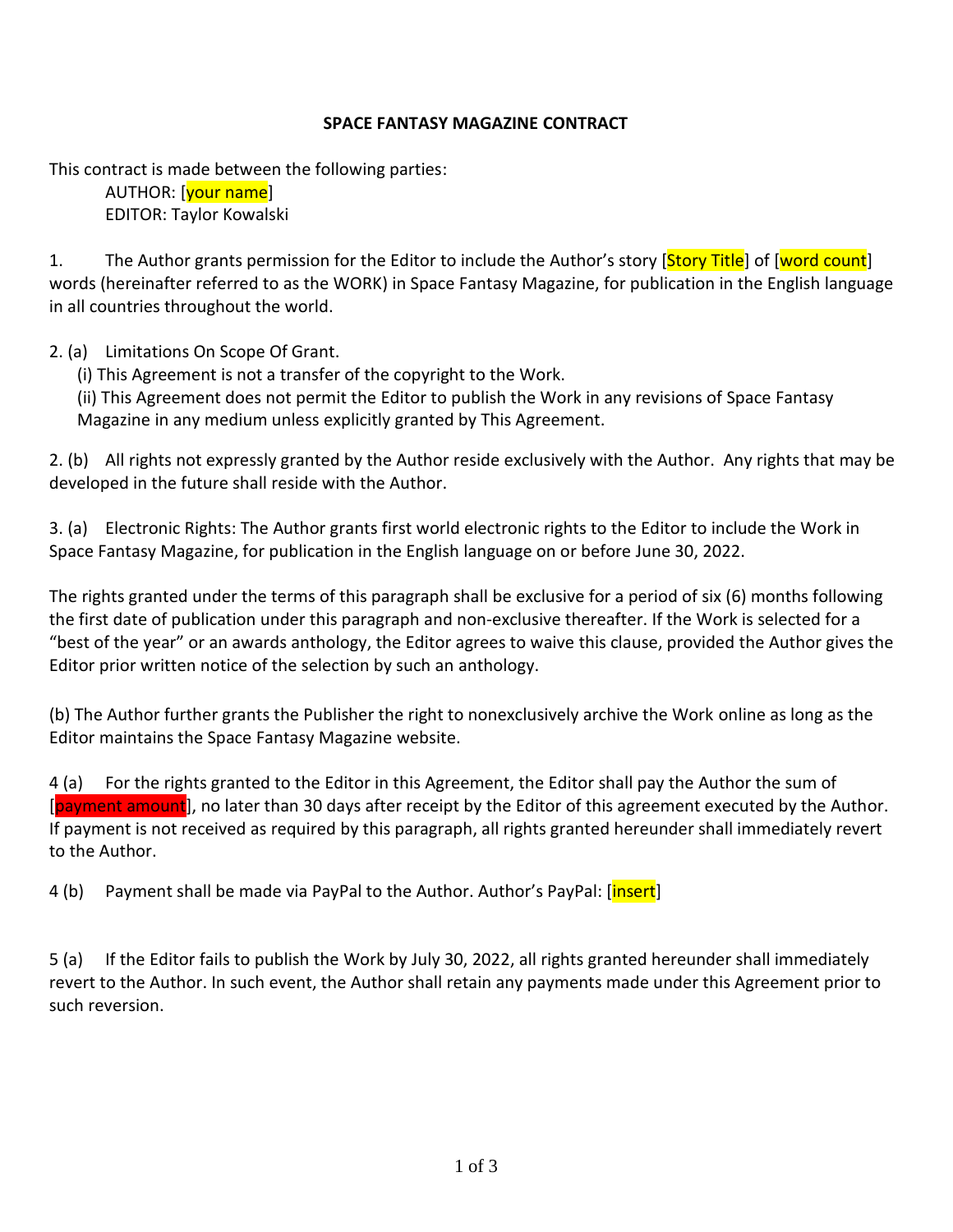## **SPACE FANTASY MAGAZINE CONTRACT**

This contract is made between the following parties:

AUTHOR: [<mark>your name</mark>] EDITOR: Taylor Kowalski

1. The Author grants permission for the Editor to include the Author's story [Story Title] of [word count] words (hereinafter referred to as the WORK) in Space Fantasy Magazine, for publication in the English language in all countries throughout the world.

2. (a) Limitations On Scope Of Grant.

- (i) This Agreement is not a transfer of the copyright to the Work.
- (ii) This Agreement does not permit the Editor to publish the Work in any revisions of Space Fantasy Magazine in any medium unless explicitly granted by This Agreement.

2. (b) All rights not expressly granted by the Author reside exclusively with the Author. Any rights that may be developed in the future shall reside with the Author.

3. (a) Electronic Rights: The Author grants first world electronic rights to the Editor to include the Work in Space Fantasy Magazine, for publication in the English language on or before June 30, 2022.

The rights granted under the terms of this paragraph shall be exclusive for a period of six (6) months following the first date of publication under this paragraph and non-exclusive thereafter. If the Work is selected for a "best of the year" or an awards anthology, the Editor agrees to waive this clause, provided the Author gives the Editor prior written notice of the selection by such an anthology.

(b) The Author further grants the Publisher the right to nonexclusively archive the Work online as long as the Editor maintains the Space Fantasy Magazine website.

4 (a) For the rights granted to the Editor in this Agreement, the Editor shall pay the Author the sum of [payment amount], no later than 30 days after receipt by the Editor of this agreement executed by the Author. If payment is not received as required by this paragraph, all rights granted hereunder shall immediately revert to the Author.

4 (b) Payment shall be made via PayPal to the Author. Author's PayPal: [*insert*]

5 (a) If the Editor fails to publish the Work by July 30, 2022, all rights granted hereunder shall immediately revert to the Author. In such event, the Author shall retain any payments made under this Agreement prior to such reversion.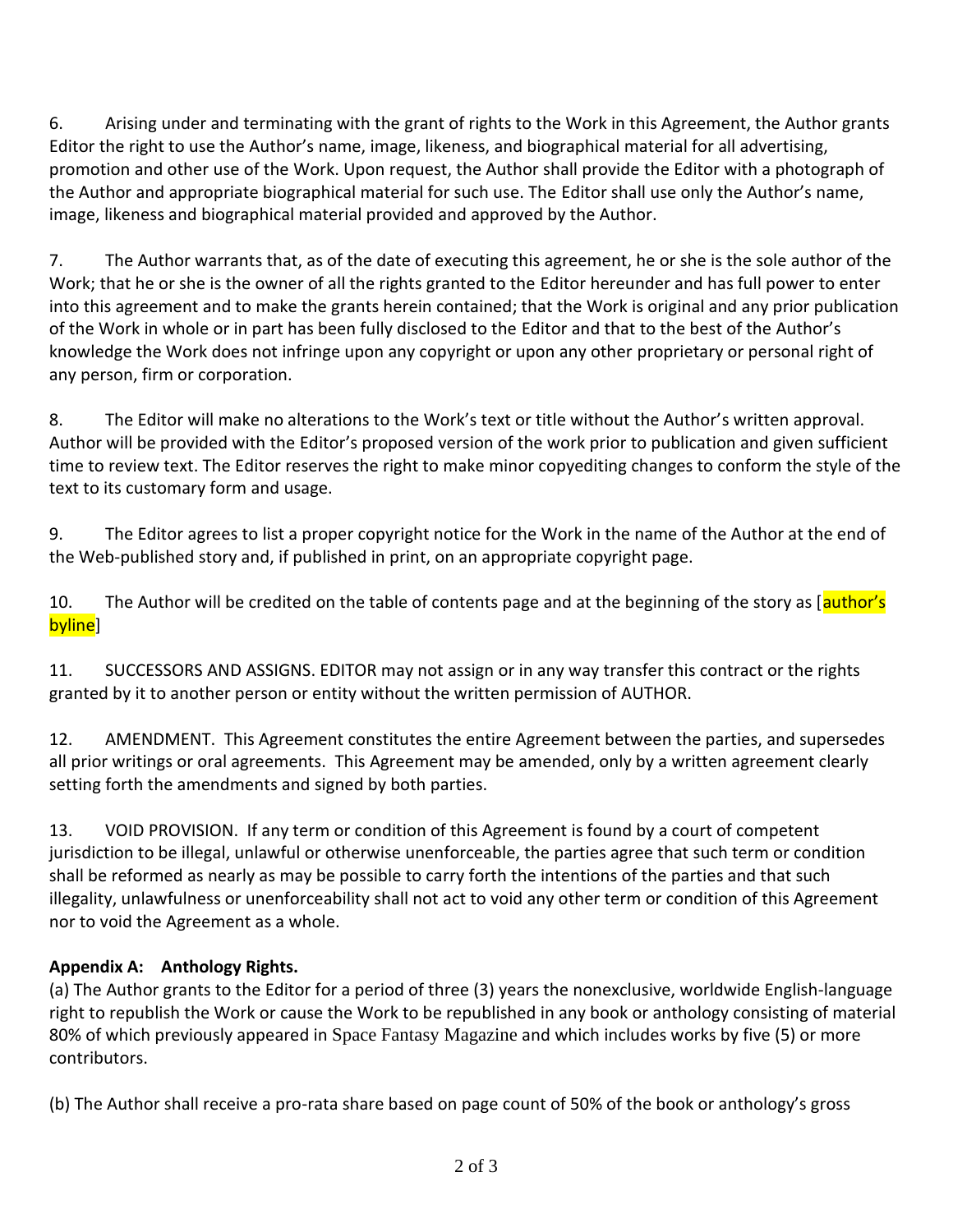6. Arising under and terminating with the grant of rights to the Work in this Agreement, the Author grants Editor the right to use the Author's name, image, likeness, and biographical material for all advertising, promotion and other use of the Work. Upon request, the Author shall provide the Editor with a photograph of the Author and appropriate biographical material for such use. The Editor shall use only the Author's name, image, likeness and biographical material provided and approved by the Author.

7. The Author warrants that, as of the date of executing this agreement, he or she is the sole author of the Work; that he or she is the owner of all the rights granted to the Editor hereunder and has full power to enter into this agreement and to make the grants herein contained; that the Work is original and any prior publication of the Work in whole or in part has been fully disclosed to the Editor and that to the best of the Author's knowledge the Work does not infringe upon any copyright or upon any other proprietary or personal right of any person, firm or corporation.

8. The Editor will make no alterations to the Work's text or title without the Author's written approval. Author will be provided with the Editor's proposed version of the work prior to publication and given sufficient time to review text. The Editor reserves the right to make minor copyediting changes to conform the style of the text to its customary form and usage.

9. The Editor agrees to list a proper copyright notice for the Work in the name of the Author at the end of the Web-published story and, if published in print, on an appropriate copyright page.

10. The Author will be credited on the table of contents page and at the beginning of the story as [author's byline]

11. SUCCESSORS AND ASSIGNS. EDITOR may not assign or in any way transfer this contract or the rights granted by it to another person or entity without the written permission of AUTHOR.

12. AMENDMENT. This Agreement constitutes the entire Agreement between the parties, and supersedes all prior writings or oral agreements. This Agreement may be amended, only by a written agreement clearly setting forth the amendments and signed by both parties.

13. VOID PROVISION. If any term or condition of this Agreement is found by a court of competent jurisdiction to be illegal, unlawful or otherwise unenforceable, the parties agree that such term or condition shall be reformed as nearly as may be possible to carry forth the intentions of the parties and that such illegality, unlawfulness or unenforceability shall not act to void any other term or condition of this Agreement nor to void the Agreement as a whole.

## **Appendix A: Anthology Rights.**

(a) The Author grants to the Editor for a period of three (3) years the nonexclusive, worldwide English-language right to republish the Work or cause the Work to be republished in any book or anthology consisting of material 80% of which previously appeared in Space Fantasy Magazine and which includes works by five (5) or more contributors.

(b) The Author shall receive a pro-rata share based on page count of 50% of the book or anthology's gross